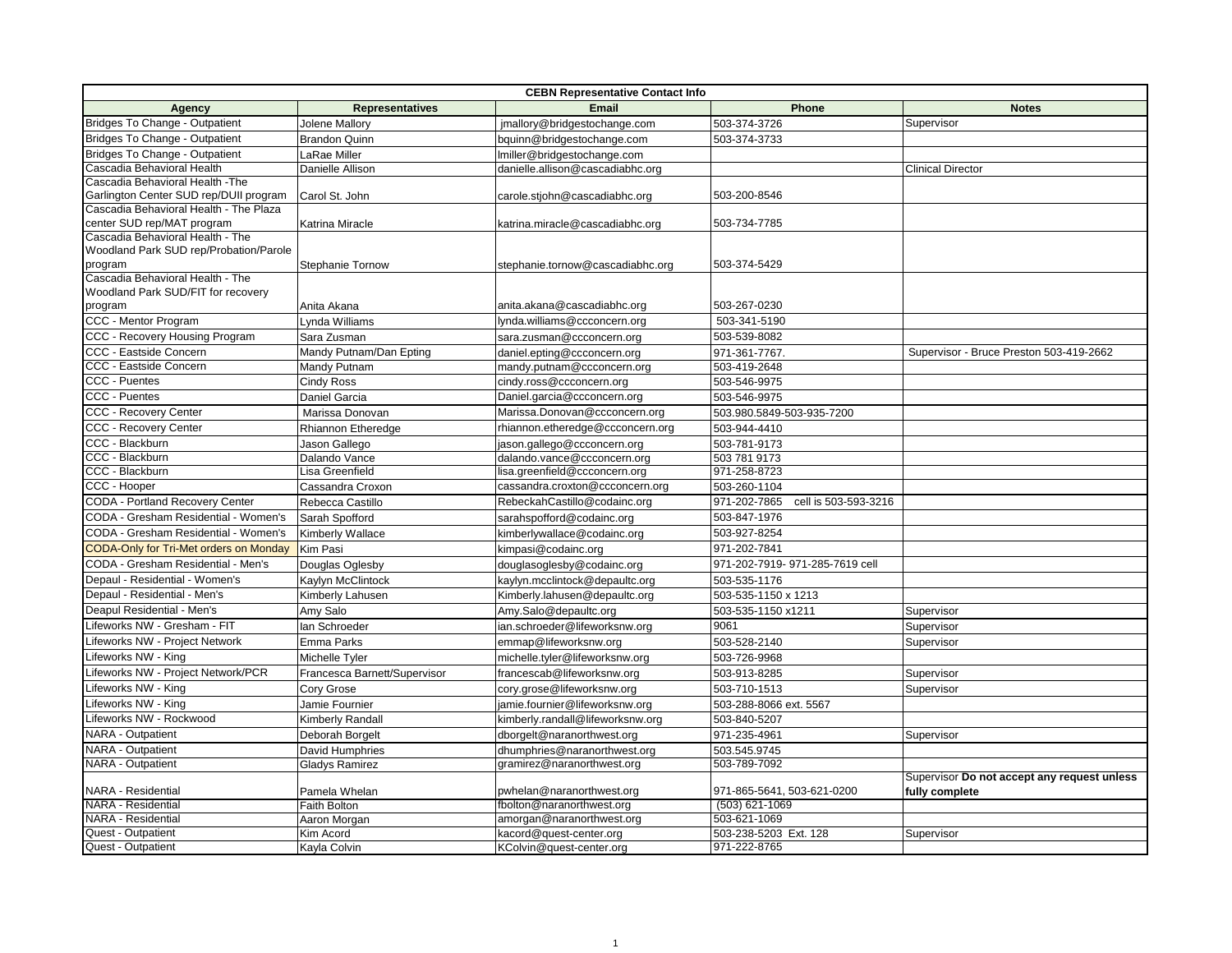| <b>CEBN Representative Contact Info</b>                        |                              |                                  |                                      |                                             |  |  |  |
|----------------------------------------------------------------|------------------------------|----------------------------------|--------------------------------------|---------------------------------------------|--|--|--|
| <b>Agency</b>                                                  | <b>Representatives</b>       | Email                            | Phone                                | <b>Notes</b>                                |  |  |  |
| Bridges To Change - Outpatient                                 | Jolene Mallory               | jmallory@bridgestochange.com     | 503-374-3726                         | Supervisor                                  |  |  |  |
| Bridges To Change - Outpatient                                 | <b>Brandon Quinn</b>         | bquinn@bridgestochange.com       | 503-374-3733                         |                                             |  |  |  |
| Bridges To Change - Outpatient                                 | LaRae Miller                 | Imiller@bridgestochange.com      |                                      |                                             |  |  |  |
| Cascadia Behavioral Health                                     | Danielle Allison             | danielle.allison@cascadiabhc.org |                                      | <b>Clinical Director</b>                    |  |  |  |
| Cascadia Behavioral Health - The                               |                              |                                  |                                      |                                             |  |  |  |
| Garlington Center SUD rep/DUII program                         | Carol St. John               | carole.stjohn@cascadiabhc.org    | 503-200-8546                         |                                             |  |  |  |
| Cascadia Behavioral Health - The Plaza                         |                              |                                  |                                      |                                             |  |  |  |
| center SUD rep/MAT program<br>Cascadia Behavioral Health - The | Katrina Miracle              | katrina.miracle@cascadiabhc.org  | 503-734-7785                         |                                             |  |  |  |
| Woodland Park SUD rep/Probation/Parole                         |                              |                                  |                                      |                                             |  |  |  |
| program                                                        | Stephanie Tornow             | stephanie.tornow@cascadiabhc.org | 503-374-5429                         |                                             |  |  |  |
| Cascadia Behavioral Health - The                               |                              |                                  |                                      |                                             |  |  |  |
| Woodland Park SUD/FIT for recovery                             |                              |                                  |                                      |                                             |  |  |  |
| program                                                        | Anita Akana                  | anita.akana@cascadiabhc.org      | 503-267-0230                         |                                             |  |  |  |
| CCC - Mentor Program                                           | Lynda Williams               | lynda.williams@ccconcern.org     | 503-341-5190                         |                                             |  |  |  |
| CCC - Recovery Housing Program                                 | Sara Zusman                  | sara.zusman@ccconcern.org        | 503-539-8082                         |                                             |  |  |  |
| CCC - Eastside Concern                                         | Mandy Putnam/Dan Epting      | daniel.epting@ccconcern.org      | 971-361-7767.                        | Supervisor - Bruce Preston 503-419-2662     |  |  |  |
| CCC - Eastside Concern                                         | Mandy Putnam                 | mandy.putnam@ccconcern.org       | 503-419-2648                         |                                             |  |  |  |
| <b>CCC - Puentes</b>                                           | Cindy Ross                   | cindy.ross@ccconcern.org         | 503-546-9975                         |                                             |  |  |  |
| <b>CCC - Puentes</b>                                           | Daniel Garcia                | Daniel.garcia@ccconcern.org      | 503-546-9975                         |                                             |  |  |  |
| <b>CCC - Recovery Center</b>                                   | Marissa Donovan              | Marissa.Donovan@ccconcern.org    | 503.980.5849-503-935-7200            |                                             |  |  |  |
| <b>CCC - Recovery Center</b>                                   | Rhiannon Etheredge           | rhiannon.etheredge@ccconcern.org | 503-944-4410                         |                                             |  |  |  |
| CCC - Blackburn                                                | Jason Gallego                | jason.gallego@ccconcern.org      | 503-781-9173                         |                                             |  |  |  |
| CCC - Blackburn                                                | Dalando Vance                | dalando.vance@ccconcern.org      | 503 781 9173                         |                                             |  |  |  |
| CCC - Blackburn                                                | Lisa Greenfield              | lisa.greenfield@ccconcern.org    | 971-258-8723                         |                                             |  |  |  |
| CCC - Hooper                                                   | Cassandra Croxon             | cassandra.croxton@ccconcern.org  | 503-260-1104                         |                                             |  |  |  |
| <b>CODA - Portland Recovery Center</b>                         | Rebecca Castillo             | RebeckahCastillo@codainc.org     | 971-202-7865<br>cell is 503-593-3216 |                                             |  |  |  |
| CODA - Gresham Residential - Women's                           | Sarah Spofford               | sarahspofford@codainc.org        | 503-847-1976                         |                                             |  |  |  |
| CODA - Gresham Residential - Women's                           | Kimberly Wallace             | kimberlywallace@codainc.org      | 503-927-8254                         |                                             |  |  |  |
| CODA-Only for Tri-Met orders on Monday                         | Kim Pasi                     | kimpasi@codainc.org              | 971-202-7841                         |                                             |  |  |  |
| CODA - Gresham Residential - Men's                             | Douglas Oglesby              | douglasoglesby@codainc.org       | 971-202-7919-971-285-7619 cell       |                                             |  |  |  |
| Depaul - Residential - Women's                                 | Kaylyn McClintock            | kaylyn.mcclintock@depaultc.org   | 503-535-1176                         |                                             |  |  |  |
| Depaul - Residential - Men's                                   | Kimberly Lahusen             | Kimberly.lahusen@depaultc.org    | 503-535-1150 x 1213                  |                                             |  |  |  |
| Deapul Residential - Men's                                     | Amy Salo                     | Amy.Salo@depaultc.org            | 503-535-1150 x1211                   | Supervisor                                  |  |  |  |
| Lifeworks NW - Gresham - FIT                                   | lan Schroeder                | ian.schroeder@lifeworksnw.org    | 9061                                 | Supervisor                                  |  |  |  |
| Lifeworks NW - Project Network                                 | Emma Parks                   | emmap@lifeworksnw.org            | 503-528-2140                         | Supervisor                                  |  |  |  |
| Lifeworks NW - King                                            | Michelle Tyler               | michelle.tyler@lifeworksnw.org   | 503-726-9968                         |                                             |  |  |  |
| Lifeworks NW - Project Network/PCR                             | Francesca Barnett/Supervisor | francescab@lifeworksnw.org       | 503-913-8285                         | Supervisor                                  |  |  |  |
| Lifeworks NW - King                                            | Cory Grose                   | cory.grose@lifeworksnw.org       | 503-710-1513                         | Supervisor                                  |  |  |  |
| Lifeworks NW - King                                            | Jamie Fournier               | jamie.fournier@lifeworksnw.org   | 503-288-8066 ext. 5567               |                                             |  |  |  |
| Lifeworks NW - Rockwood                                        | Kimberly Randall             | kimberly.randall@lifeworksnw.org | 503-840-5207                         |                                             |  |  |  |
| NARA - Outpatient                                              | Deborah Borgelt              | dborgelt@naranorthwest.org       | 971-235-4961                         | Supervisor                                  |  |  |  |
| NARA - Outpatient                                              | David Humphries              | dhumphries@naranorthwest.org     | 503.545.9745                         |                                             |  |  |  |
| NARA - Outpatient                                              | Gladys Ramirez               | gramirez@naranorthwest.org       | 503-789-7092                         |                                             |  |  |  |
|                                                                |                              |                                  |                                      | Supervisor Do not accept any request unless |  |  |  |
| NARA - Residential                                             | Pamela Whelan                | pwhelan@naranorthwest.org        | 971-865-5641, 503-621-0200           | fully complete                              |  |  |  |
| NARA - Residential                                             | Faith Bolton                 | fbolton@naranorthwest.org        | $(503)$ 621-1069                     |                                             |  |  |  |
| <b>NARA - Residential</b>                                      | Aaron Morgan                 | amorgan@naranorthwest.org        | 503-621-1069                         |                                             |  |  |  |
| <b>Quest - Outpatient</b>                                      | Kim Acord                    | kacord@quest-center.org          | 503-238-5203 Ext. 128                | Supervisor                                  |  |  |  |
| Quest - Outpatient                                             | Kayla Colvin                 | KColvin@quest-center.org         | 971-222-8765                         |                                             |  |  |  |